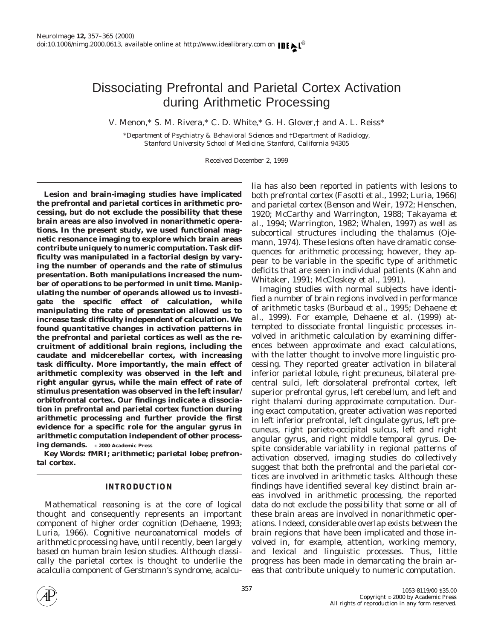# Dissociating Prefrontal and Parietal Cortex Activation during Arithmetic Processing

V. Menon,\* S. M. Rivera,\* C. D. White,\* G. H. Glover,† and A. L. Reiss\*

\**Department of Psychiatry & Behavioral Sciences and* †*Department of Radiology, Stanford University School of Medicine, Stanford, California 94305*

Received December 2, 1999

**Lesion and brain-imaging studies have implicated the prefrontal and parietal cortices in arithmetic processing, but do not exclude the possibility that these brain areas are also involved in nonarithmetic operations. In the present study, we used functional magnetic resonance imaging to explore which brain areas contribute uniquely to numeric computation. Task difficulty was manipulated in a factorial design by varying the number of operands and the rate of stimulus presentation. Both manipulations increased the number of operations to be performed in unit time. Manipulating the number of operands allowed us to investigate the specific effect of calculation, while manipulating the rate of presentation allowed us to increase task difficulty independent of calculation. We found quantitative changes in activation patterns in the prefrontal and parietal cortices as well as the recruitment of additional brain regions, including the caudate and midcerebellar cortex, with increasing task difficulty. More importantly, the main effect of arithmetic complexity was observed in the left and right angular gyrus, while the main effect of rate of stimulus presentation was observed in the left insular/ orbitofrontal cortex. Our findings indicate a dissociation in prefrontal and parietal cortex function during arithmetic processing and further provide the first evidence for a specific role for the angular gyrus in arithmetic computation independent of other processing demands.** © **2000 Academic Press**

*Key Words:* **fMRI; arithmetic; parietal lobe; prefrontal cortex.**

# **INTRODUCTION**

Mathematical reasoning is at the core of logical thought and consequently represents an important component of higher order cognition (Dehaene, 1993; Luria, 1966). Cognitive neuroanatomical models of arithmetic processing have, until recently, been largely based on human brain lesion studies. Although classically the parietal cortex is thought to underlie the acalculia component of Gerstmann's syndrome, acalculia has also been reported in patients with lesions to both prefrontal cortex (Fasotti *et al.,* 1992; Luria, 1966) and parietal cortex (Benson and Weir, 1972; Henschen, 1920; McCarthy and Warrington, 1988; Takayama *et al.,* 1994; Warrington, 1982; Whalen, 1997) as well as subcortical structures including the thalamus (Ojemann, 1974). These lesions often have dramatic consequences for arithmetic processing; however, they appear to be variable in the specific type of arithmetic deficits that are seen in individual patients (Kahn and Whitaker, 1991; McCloskey *et al.,* 1991).

Imaging studies with normal subjects have identified a number of brain regions involved in performance of arithmetic tasks (Burbaud *et al.,* 1995; Dehaene *et al.,* 1999). For example, Dehaene *et al.* (1999) attempted to dissociate frontal linguistic processes involved in arithmetic calculation by examining differences between approximate and exact calculations, with the latter thought to involve more linguistic processing. They reported greater activation in bilateral inferior parietal lobule, right precuneus, bilateral precentral sulci, left dorsolateral prefrontal cortex, left superior prefrontal gyrus, left cerebellum, and left and right thalami during approximate computation. During exact computation, greater activation was reported in left inferior prefrontal, left cingulate gyrus, left precuneus, right parieto-occipital sulcus, left and right angular gyrus, and right middle temporal gyrus. Despite considerable variability in regional patterns of activation observed, imaging studies do collectively suggest that both the prefrontal and the parietal cortices are involved in arithmetic tasks. Although these findings have identified several key distinct brain areas involved in arithmetic processing, the reported data do not exclude the possibility that some or all of these brain areas are involved in nonarithmetic operations. Indeed, considerable overlap exists between the brain regions that have been implicated and those involved in, for example, attention, working memory, and lexical and linguistic processes. Thus, little progress has been made in demarcating the brain areas that contribute uniquely to numeric computation.

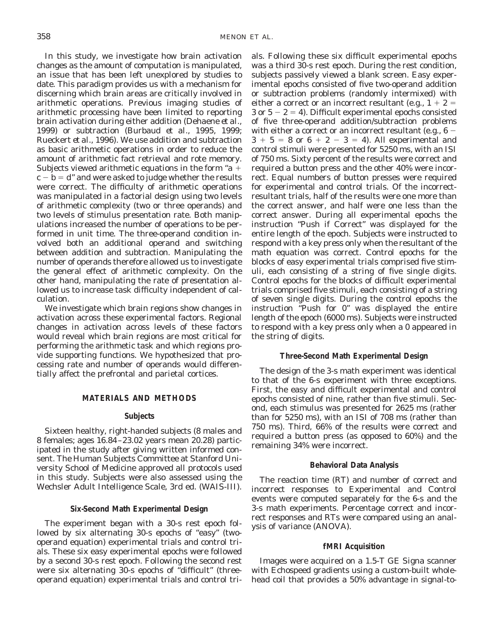In this study, we investigate how brain activation changes as the amount of computation is manipulated, an issue that has been left unexplored by studies to date. This paradigm provides us with a mechanism for discerning which brain areas are critically involved in arithmetic operations. Previous imaging studies of arithmetic processing have been limited to reporting brain activation during either addition (Dehaene *et al.,* 1999) or subtraction (Burbaud *et al.,* 1995, 1999; Rueckert *et al.,* 1996). We use addition and subtraction as basic arithmetic operations in order to reduce the amount of arithmetic fact retrieval and rote memory. Subjects viewed arithmetic equations in the form " $a +$  $c - b = d'$  and were asked to judge whether the results were correct. The difficulty of arithmetic operations was manipulated in a factorial design using two levels of arithmetic complexity (two or three operands) and two levels of stimulus presentation rate. Both manipulations increased the number of operations to be performed in unit time. The three-operand condition involved both an additional operand and switching

between addition and subtraction. Manipulating the number of operands therefore allowed us to investigate the general effect of arithmetic complexity. On the other hand, manipulating the rate of presentation allowed us to increase task difficulty independent of calculation.

We investigate which brain regions show changes in activation across these experimental factors. Regional changes in activation across levels of these factors would reveal which brain regions are most critical for performing the arithmetic task and which regions provide supporting functions. We hypothesized that processing rate and number of operands would differentially affect the prefrontal and parietal cortices.

# **MATERIALS AND METHODS**

# **Subjects**

Sixteen healthy, right-handed subjects (8 males and 8 females; ages 16.84–23.02 years mean 20.28) participated in the study after giving written informed consent. The Human Subjects Committee at Stanford University School of Medicine approved all protocols used in this study. Subjects were also assessed using the Wechsler Adult Intelligence Scale, 3rd ed. (WAIS-III).

# **Six-Second Math Experimental Design**

The experiment began with a 30-s rest epoch followed by six alternating 30-s epochs of "easy" (twooperand equation) experimental trials and control trials. These six easy experimental epochs were followed by a second 30-s rest epoch. Following the second rest were six alternating 30-s epochs of "difficult" (threeoperand equation) experimental trials and control trials. Following these six difficult experimental epochs was a third 30-s rest epoch. During the rest condition, subjects passively viewed a blank screen. Easy experimental epochs consisted of five two-operand addition or subtraction problems (randomly intermixed) with either a correct or an incorrect resultant (e.g.,  $1 + 2 =$  $3$  or  $5 - 2 = 4$ ). Difficult experimental epochs consisted of five three-operand addition/subtraction problems with either a correct or an incorrect resultant (e.g.,  $6 3 + 5 = 8$  or  $6 + 2 - 3 = 4$ ). All experimental and control stimuli were presented for 5250 ms, with an ISI of 750 ms. Sixty percent of the results were correct and required a button press and the other 40% were incorrect. Equal numbers of button presses were required for experimental and control trials. Of the incorrectresultant trials, half of the results were one more than the correct answer, and half were one less than the correct answer. During all experimental epochs the instruction "Push if Correct" was displayed for the entire length of the epoch. Subjects were instructed to respond with a key press only when the resultant of the math equation was correct. Control epochs for the blocks of easy experimental trials comprised five stimuli, each consisting of a string of five single digits. Control epochs for the blocks of difficult experimental trials comprised five stimuli, each consisting of a string of seven single digits. During the control epochs the instruction "Push for 0" was displayed the entire length of the epoch (6000 ms). Subjects were instructed to respond with a key press only when a 0 appeared in the string of digits.

# **Three-Second Math Experimental Design**

The design of the 3-s math experiment was identical to that of the 6-s experiment with three exceptions. First, the easy and difficult experimental and control epochs consisted of nine, rather than five stimuli. Second, each stimulus was presented for 2625 ms (rather than for 5250 ms), with an ISI of 708 ms (rather than 750 ms). Third, 66% of the results were correct and required a button press (as opposed to 60%) and the remaining 34% were incorrect.

# **Behavioral Data Analysis**

The reaction time (RT) and number of correct and incorrect responses to Experimental and Control events were computed separately for the 6-s and the 3-s math experiments. Percentage correct and incorrect responses and RTs were compared using an analysis of variance (ANOVA).

# **fMRI Acquisition**

Images were acquired on a 1.5-T GE Signa scanner with Echospeed gradients using a custom-built wholehead coil that provides a 50% advantage in signal-to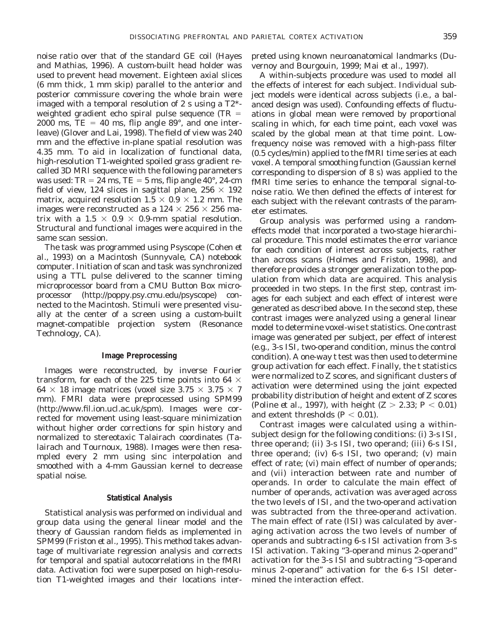noise ratio over that of the standard GE coil (Hayes and Mathias, 1996). A custom-built head holder was used to prevent head movement. Eighteen axial slices (6 mm thick, 1 mm skip) parallel to the anterior and posterior commissure covering the whole brain were imaged with a temporal resolution of 2 s using a T2\* weighted gradient echo spiral pulse sequence (TR  $=$ 2000 ms,  $TE = 40$  ms, flip angle  $89^{\circ}$ , and one interleave) (Glover and Lai, 1998). The field of view was 240 mm and the effective in-plane spatial resolution was 4.35 mm. To aid in localization of functional data, high-resolution T1-weighted spoiled grass gradient recalled 3D MRI sequence with the following parameters was used:  $TR = 24$  ms,  $TE = 5$  ms, flip angle 40 $^{\circ}$ , 24-cm field of view, 124 slices in sagittal plane,  $256 \times 192$ matrix, acquired resolution  $1.5 \times 0.9 \times 1.2$  mm. The images were reconstructed as a  $124 \times 256 \times 256$  matrix with a 1.5  $\times$  0.9  $\times$  0.9-mm spatial resolution. Structural and functional images were acquired in the same scan session.

The task was programmed using Psyscope (Cohen *et al.,* 1993) on a Macintosh (Sunnyvale, CA) notebook computer. Initiation of scan and task was synchronized using a TTL pulse delivered to the scanner timing microprocessor board from a CMU Button Box microprocessor (http://poppy.psy.cmu.edu/psyscope) connected to the Macintosh. Stimuli were presented visually at the center of a screen using a custom-built magnet-compatible projection system (Resonance Technology, CA).

# **Image Preprocessing**

Images were reconstructed, by inverse Fourier transform, for each of the 225 time points into 64  $\times$  $64 \times 18$  image matrices (voxel size  $3.75 \times 3.75 \times 7$ mm). FMRI data were preprocessed using SPM99 (http://www.fil.ion.ucl.ac.uk/spm). Images were corrected for movement using least-square minimization without higher order corrections for spin history and normalized to stereotaxic Talairach coordinates (Talairach and Tournoux, 1988). Images were then resampled every 2 mm using sinc interpolation and smoothed with a 4-mm Gaussian kernel to decrease spatial noise.

# **Statistical Analysis**

Statistical analysis was performed on individual and group data using the general linear model and the theory of Gaussian random fields as implemented in SPM99 (Friston *et al.,* 1995). This method takes advantage of multivariate regression analysis and corrects for temporal and spatial autocorrelations in the fMRI data. Activation foci were superposed on high-resolution T1-weighted images and their locations interpreted using known neuroanatomical landmarks (Duvernoy and Bourgouin, 1999; Mai *et al.,* 1997).

A within-subjects procedure was used to model all the effects of interest for each subject. Individual subject models were identical across subjects (i.e., a balanced design was used). Confounding effects of fluctuations in global mean were removed by proportional scaling in which, for each time point, each voxel was scaled by the global mean at that time point. Lowfrequency noise was removed with a high-pass filter (0.5 cycles/min) applied to the fMRI time series at each voxel. A temporal smoothing function (Gaussian kernel corresponding to dispersion of 8 s) was applied to the fMRI time series to enhance the temporal signal-tonoise ratio. We then defined the effects of interest for each subject with the relevant contrasts of the parameter estimates.

Group analysis was performed using a randomeffects model that incorporated a two-stage hierarchical procedure. This model estimates the error variance for each condition of interest across subjects, rather than across scans (Holmes and Friston, 1998), and therefore provides a stronger generalization to the population from which data are acquired. This analysis proceeded in two steps. In the first step, contrast images for each subject and each effect of interest were generated as described above. In the second step, these contrast images were analyzed using a general linear model to determine voxel-wise *t* statistics. One contrast image was generated per subject, per effect of interest (e.g., 3-s ISI, two-operand condition, minus the control condition). A one-way *t* test was then used to determine group activation for each effect. Finally, the *t* statistics were normalized to *Z* scores, and significant clusters of activation were determined using the joint expected probability distribution of height and extent of *Z* scores (Poline *et al.,* 1997), with height  $(Z > 2.33; P < 0.01)$ and extent thresholds  $(P < 0.01)$ .

Contrast images were calculated using a withinsubject design for the following conditions: (i) 3-s ISI, three operand; (ii) 3-s ISI, two operand; (iii) 6-s ISI, three operand; (iv) 6-s ISI, two operand; (v) main effect of rate; (vi) main effect of number of operands; and (vii) interaction between rate and number of operands. In order to calculate the main effect of number of operands, activation was averaged across the two levels of ISI, and the two-operand activation was subtracted from the three-operand activation. The main effect of rate (ISI) was calculated by averaging activation across the two levels of number of operands and subtracting 6-s ISI activation from 3-s ISI activation. Taking "3-operand minus 2-operand" activation for the 3-s ISI and subtracting "3-operand minus 2-operand" activation for the 6-s ISI determined the interaction effect.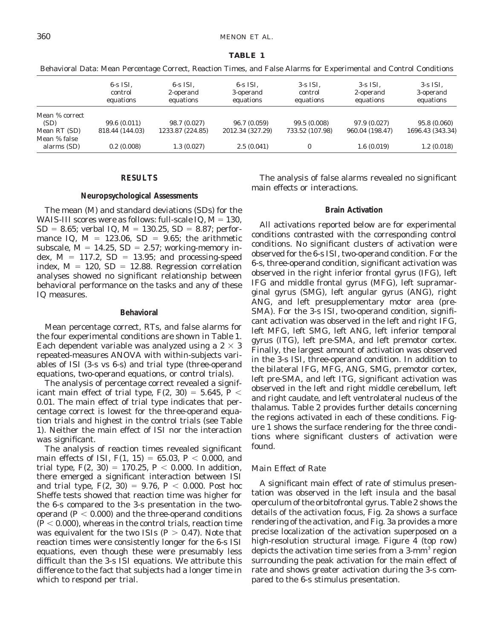#### **TABLE 1**

|                             | $6-s$ ISI.<br>control<br>equations | $6-s$ ISI.<br>2-operand<br>equations | $6-s$ ISI.<br>3-operand<br>equations | $3$ -s ISI.<br>control<br>equations | $3-s$ ISI.<br>2-operand<br>equations | $3$ -s ISI.<br>3-operand<br>equations |
|-----------------------------|------------------------------------|--------------------------------------|--------------------------------------|-------------------------------------|--------------------------------------|---------------------------------------|
| Mean % correct              |                                    |                                      |                                      |                                     |                                      |                                       |
| (SD)                        | 99.6(0.011)                        | 98.7 (0.027)                         | 96.7 (0.059)                         | 99.5 (0.008)                        | 97.9 (0.027)                         | 95.8 (0.060)                          |
| Mean RT (SD)                | 818.44 (144.03)                    | 1233.87 (224.85)                     | 2012.34 (327.29)                     | 733.52 (107.98)                     | 960.04 (198.47)                      | 1696.43 (343.34)                      |
| Mean % false<br>alarms (SD) | 0.2(0.008)                         | 1.3(0.027)                           | 2.5(0.041)                           | $\bf{0}$                            | 1.6(0.019)                           | 1.2(0.018)                            |

Behavioral Data: Mean Percentage Correct, Reaction Times, and False Alarms for Experimental and Control Conditions

## **RESULTS**

## **Neuropsychological Assessments**

The mean (*M*) and standard deviations (SDs) for the WAIS-III scores were as follows: full-scale IQ,  $M = 130$ ,  $SD = 8.65$ ; verbal IQ,  $M = 130.25$ ,  $SD = 8.87$ ; performance IQ,  $M = 123.06$ , SD = 9.65; the arithmetic subscale,  $M = 14.25$ , SD = 2.57; working-memory index,  $M = 117.2$ ,  $SD = 13.95$ ; and processing-speed index,  $M = 120$ , SD = 12.88. Regression correlation analyses showed no significant relationship between behavioral performance on the tasks and any of these IQ measures.

#### **Behavioral**

Mean percentage correct, RTs, and false alarms for the four experimental conditions are shown in Table 1. Each dependent variable was analyzed using a  $2 \times 3$ repeated-measures ANOVA with within-subjects variables of ISI (3-s vs 6-s) and trial type (three-operand equations, two-operand equations, or control trials).

The analysis of percentage correct revealed a significant main effect of trial type,  $F(2, 30) = 5.645$ ,  $P <$ 0.01. The main effect of trial type indicates that percentage correct is lowest for the three-operand equation trials and highest in the control trials (see Table 1). Neither the main effect of ISI nor the interaction was significant.

The analysis of reaction times revealed significant main effects of ISI,  $F(1, 15) = 65.03$ ,  $P < 0.000$ , and trial type,  $F(2, 30) = 170.25$ ,  $P < 0.000$ . In addition, there emerged a significant interaction between ISI and trial type,  $F(2, 30) = 9.76$ ,  $P < 0.000$ . Post hoc Sheffe tests showed that reaction time was higher for the 6-s compared to the 3-s presentation in the twooperand  $(P < 0.000)$  and the three-operand conditions  $(P < 0.000)$ , whereas in the control trials, reaction time was equivalent for the two ISIs  $(P > 0.47)$ . Note that reaction times were consistently longer for the 6-s ISI equations, even though these were presumably less difficult than the 3-s ISI equations. We attribute this difference to the fact that subjects had a longer time in which to respond per trial.

The analysis of false alarms revealed no significant main effects or interactions.

#### **Brain Activation**

All activations reported below are for experimental conditions contrasted with the corresponding control conditions. No significant clusters of activation were observed for the 6-s ISI, two-operand condition. For the 6-s, three-operand condition, significant activation was observed in the right inferior frontal gyrus (IFG), left IFG and middle frontal gyrus (MFG), left supramarginal gyrus (SMG), left angular gyrus (ANG), right ANG, and left presupplementary motor area (pre-SMA). For the 3-s ISI, two-operand condition, significant activation was observed in the left and right IFG, left MFG, left SMG, left ANG, left inferior temporal gyrus (ITG), left pre-SMA, and left premotor cortex. Finally, the largest amount of activation was observed in the 3-s ISI, three-operand condition. In addition to the bilateral IFG, MFG, ANG, SMG, premotor cortex, left pre-SMA, and left ITG, significant activation was observed in the left and right middle cerebellum, left and right caudate, and left ventrolateral nucleus of the thalamus. Table 2 provides further details concerning the regions activated in each of these conditions. Figure 1 shows the surface rendering for the three conditions where significant clusters of activation were found.

## *Main Effect of Rate*

A significant main effect of rate of stimulus presentation was observed in the left insula and the basal operculum of the orbitofrontal gyrus. Table 2 shows the details of the activation focus, Fig. 2a shows a surface rendering of the activation, and Fig. 3a provides a more precise localization of the activation superposed on a high-resolution structural image. Figure 4 (top row) depicts the activation time series from a  $3\text{-mm}^3$  region surrounding the peak activation for the main effect of rate and shows greater activation during the 3-s compared to the 6-s stimulus presentation.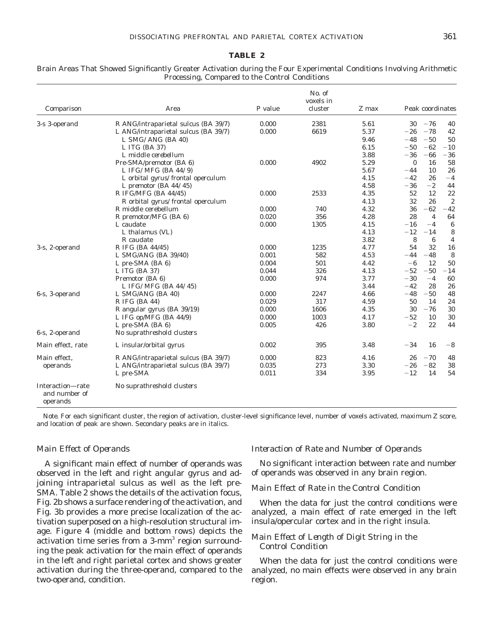#### **TABLE 2**

#### **Comparison** Area *P* value No. of voxels in cluster *Z* max Peak coordinates 3-s 3-operand R ANG/intraparietal sulcus (BA 39/7) 0.000 2381 5.61 30 −76 40<br>1. ANG/intraparietal sulcus (BA 39/7) 0.000 6619 5.37 −26 −78 42 L ANG/intraparietal sulcus (BA 39/7) 0.000 6619 5.37 - 26 - 78 42 *L SMG/ANG (BA 40) 9.46* 2*48* 2*50 50 L ITG* (*BA* 37) *6.15* **2***50* **-** *62* **- 10** *L middle cerebellum 3.88* 2*36* 2*66* 2*36* Pre-SMA/premotor (BA 6) 0.000 4902 5.29 0 16 58 *L IFG/MFG (BA 44/9) 5.67* 2*44 10 26 L orbital gyrus/frontal operculum 4.15* 2*42 26* 2*4 L* premotor (BA 44/45)  $\begin{matrix} 4.58 & -36 & -2 & 44 \\ 4.58 & -36 & -2 & 44 \end{matrix}$ <br>15G/MFG (BA 44/45)  $\begin{matrix} 0.000 & 2533 & 4.35 & 52 & 12 & 22 \\ 0.000 & 0.000 & 0.000 & 0.000 & 0.000 \end{matrix}$ R IFG/MFG (BA 44/45) 0.000 2533 4.35 52 12 22 *R orbital gyrus/frontal operculum 4.13 32 26 2* R middle cerebellum  $0.000$  740  $4.32$   $36 -62 -42$ <br>R premotor/MFG (RA 6)  $0.020$   $356$   $4.28$   $28$   $4.64$ R premotor/MFG (BA 6) 0.020 356 4.28 28 4 64 L caudate  $\begin{array}{cccc} 0.000 & 1305 & 4.15 & -16 & -4 & 6 \end{array}$ *L* thalamus (VL)  $\begin{array}{ccc} 4.13 & -12 & -14 & 8 \\ R \text{ caudate} & 3.82 & 8 & 6 \\ 4.13 & -12 & -14 & 8 \\ 2.13 & -12 & -14 & 8 \\ 3.82 & 8 & 6 & 4 \\ 1.13 & -12 & -14 & 8 \\ 1.13 & -12 & -14 & 8 \\ 1.14 & -1.1 & -1.1 & -1.1 \\ 1.15 & -1.1 & -1.1 & -1.1 \\ 1.17 & -1.1 & -1.1 & -1.1 \\ 1.18 & -1.1 & -$ *R caudate 3.82 8 6 4* 3-s, 2-operand R IFG (BA 44/45) 0.000 1235 4.77 54 32 16 L SMG/ANG (BA 39/40)  $0.001$  582  $4.53$   $-44$   $-48$  8 L pre-SMA (BA 6)  $0.004$  501  $4.42$   $-6$  12 50 L ITG (BA 37)  $0.044$   $326$   $4.13$   $-52$   $-50$   $-14$ Premotor (BA 6)  $0.000$  974  $3.77$   $-30$   $-4$  60<br>*LIFG/MFG (BA 44/45)*  $3.44$   $-42$  28 26 *L IFG/MFG (BA 44/45)* 3.44 6-s, 3-operand L SMG/ANG (BA 40) 0.000 2247 4.66 -48 -50 48 R IFG (BA 44) 0.029 317 4.59 50 14 24 R angular gyrus (BA 39/19) 0.000 1606 4.35 30 -76 30 L IFG op/MFG (BA 44/9)  $0.000$   $1003$   $4.17$   $-52$   $10$  30 L pre-SMA (BA 6)  $0.005$   $426$   $3.80$   $-2$   $22$   $44$ 6-s, 2-operand *No suprathreshold clusters* Main effect, rate L insular/orbital gyrus  $0.002$  395  $3.48$   $-34$  16  $-8$ Main effect, operands R ANG/intraparietal sulcus (BA 39/7) 0.000 823 4.16 26 −70 48<br>
L ANG/intraparietal sulcus (BA 39/7) 0.035 273 3.30 −26 −82 38 L ANG/intraparietal sulcus (BA 39/7) 0.035 273 3.30  $-26$  -82 38  $\text{L pre-SMA}$  0.011 334 3.95 -12 14 54 Interaction—rate and number of operands *No suprathreshold clusters*

#### Brain Areas That Showed Significantly Greater Activation during the Four Experimental Conditions Involving Arithmetic Processing, Compared to the Control Conditions

*Note.* For each significant cluster, the region of activation, cluster-level significance level, number of voxels activated, maximum *Z* score, and location of peak are shown. Secondary peaks are in italics.

# *Main Effect of Operands*

A significant main effect of number of operands was observed in the left and right angular gyrus and adjoining intraparietal sulcus as well as the left pre-SMA. Table 2 shows the details of the activation focus, Fig. 2b shows a surface rendering of the activation, and Fig. 3b provides a more precise localization of the activation superposed on a high-resolution structural image. Figure 4 (middle and bottom rows) depicts the activation time series from a 3-mm<sup>3</sup> region surrounding the peak activation for the main effect of operands in the left and right parietal cortex and shows greater activation during the three-operand, compared to the two-operand, condition.

#### *Interaction of Rate and Number of Operands*

No significant interaction between rate and number of operands was observed in any brain region.

# *Main Effect of Rate in the Control Condition*

When the data for just the control conditions were analyzed, a main effect of rate emerged in the left insula/opercular cortex and in the right insula.

# *Main Effect of Length of Digit String in the Control Condition*

When the data for just the control conditions were analyzed, no main effects were observed in any brain region.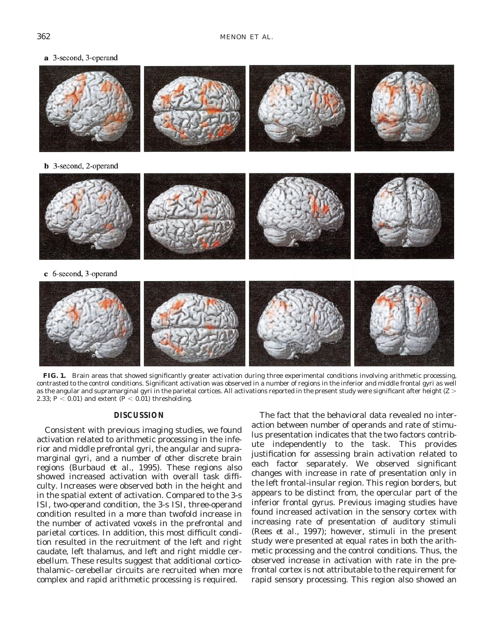a 3-second, 3-operand



**FIG. 1.** Brain areas that showed significantly greater activation during three experimental conditions involving arithmetic processing, contrasted to the control conditions. Significant activation was observed in a number of regions in the inferior and middle frontal gyri as well as the angular and supramarginal gyri in the parietal cortices. All activations reported in the present study were significant after height (*Z* . 2.33;  $P < 0.01$ ) and extent ( $P < 0.01$ ) thresholding.

# **DISCUSSION**

Consistent with previous imaging studies, we found activation related to arithmetic processing in the inferior and middle prefrontal gyri, the angular and supramarginal gyri, and a number of other discrete brain regions (Burbaud *et al.,* 1995). These regions also showed increased activation with overall task difficulty. Increases were observed both in the height and in the spatial extent of activation. Compared to the 3-s ISI, two-operand condition, the 3-s ISI, three-operand condition resulted in a more than twofold increase in the number of activated voxels in the prefrontal and parietal cortices. In addition, this most difficult condition resulted in the recruitment of the left and right caudate, left thalamus, and left and right middle cerebellum. These results suggest that additional corticothalamic–cerebellar circuits are recruited when more complex and rapid arithmetic processing is required.

The fact that the behavioral data revealed no interaction between number of operands and rate of stimulus presentation indicates that the two factors contribute independently to the task. This provides justification for assessing brain activation related to each factor separately. We observed significant changes with increase in rate of presentation only in the left frontal-insular region. This region borders, but appears to be distinct from, the opercular part of the inferior frontal gyrus. Previous imaging studies have found increased activation in the sensory cortex with increasing rate of presentation of auditory stimuli (Rees *et al.,* 1997); however, stimuli in the present study were presented at equal rates in both the arithmetic processing and the control conditions. Thus, the observed increase in activation with rate in the prefrontal cortex is not attributable to the requirement for rapid sensory processing. This region also showed an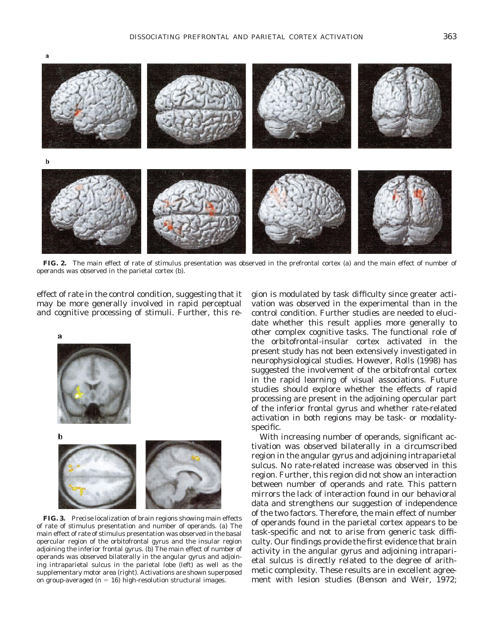

**FIG. 2.** The main effect of rate of stimulus presentation was observed in the prefrontal cortex (a) and the main effect of number of operands was observed in the parietal cortex (b).

effect of rate in the control condition, suggesting that it may be more generally involved in rapid perceptual and cognitive processing of stimuli. Further, this re-





**FIG. 3.** Precise localization of brain regions showing main effects of rate of stimulus presentation and number of operands. (a) The main effect of rate of stimulus presentation was observed in the basal opercular region of the orbitofrontal gyrus and the insular region adjoining the inferior frontal gyrus. (b) The main effect of number of operands was observed bilaterally in the angular gyrus and adjoining intraparietal sulcus in the parietal lobe (left) as well as the supplementary motor area (right). Activations are shown superposed on group-averaged  $(n = 16)$  high-resolution structural images.

gion is modulated by task difficulty since greater activation was observed in the experimental than in the control condition. Further studies are needed to elucidate whether this result applies more generally to other complex cognitive tasks. The functional role of the orbitofrontal-insular cortex activated in the present study has not been extensively investigated in neurophysiological studies. However, Rolls (1998) has suggested the involvement of the orbitofrontal cortex in the rapid learning of visual associations. Future studies should explore whether the effects of rapid processing are present in the adjoining opercular part of the inferior frontal gyrus and whether rate-related activation in both regions may be task- or modalityspecific.

With increasing number of operands, significant activation was observed bilaterally in a circumscribed region in the angular gyrus and adjoining intraparietal sulcus. No rate-related increase was observed in this region. Further, this region did not show an interaction between number of operands and rate. This pattern mirrors the lack of interaction found in our behavioral data and strengthens our suggestion of independence of the two factors. Therefore, the main effect of number of operands found in the parietal cortex appears to be task-specific and not to arise from generic task difficulty. Our findings provide the first evidence that brain activity in the angular gyrus and adjoining intraparietal sulcus is directly related to the degree of arithmetic complexity. These results are in excellent agreement with lesion studies (Benson and Weir, 1972;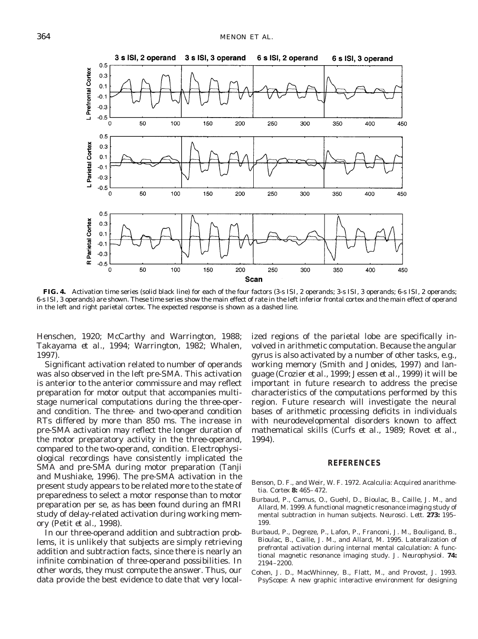

**FIG. 4.** Activation time series (solid black line) for each of the four factors (3-s ISI, 2 operands; 3-s ISI, 3 operands; 6-s ISI, 2 operands; 6-s ISI, 3 operands) are shown. These time series show the main effect of rate in the left inferior frontal cortex and the main effect of operand in the left and right parietal cortex. The expected response is shown as a dashed line.

Henschen, 1920; McCarthy and Warrington, 1988; Takayama *et al.,* 1994; Warrington, 1982; Whalen, 1997).

Significant activation related to number of operands was also observed in the left pre-SMA. This activation is anterior to the anterior commissure and may reflect preparation for motor output that accompanies multistage numerical computations during the three-operand condition. The three- and two-operand condition RTs differed by more than 850 ms. The increase in pre-SMA activation may reflect the longer duration of the motor preparatory activity in the three-operand, compared to the two-operand, condition. Electrophysiological recordings have consistently implicated the SMA and pre-SMA during motor preparation (Tanji and Mushiake, 1996). The pre-SMA activation in the present study appears to be related more to the state of preparedness to select a motor response than to motor preparation per se, as has been found during an fMRI study of delay-related activation during working memory (Petit *et al.,* 1998).

In our three-operand addition and subtraction problems, it is unlikely that subjects are simply retrieving addition and subtraction facts, since there is nearly an infinite combination of three-operand possibilities. In other words, they must *compute* the answer. Thus, our data provide the best evidence to date that very localized regions of the parietal lobe are specifically involved in arithmetic computation. Because the angular gyrus is also activated by a number of other tasks, e.g., working memory (Smith and Jonides, 1997) and language (Crozier *et al.,* 1999; Jessen *et al.,* 1999) it will be important in future research to address the precise characteristics of the computations performed by this region. Future research will investigate the neural bases of arithmetic processing deficits in individuals with neurodevelopmental disorders known to affect mathematical skills (Curfs *et al.,* 1989; Rovet *et al.,* 1994).

#### **REFERENCES**

- Benson, D. F., and Weir, W. F. 1972. Acalculia: Acquired anarithmetia. *Cortex* **8:** 465–472.
- Burbaud, P., Camus, O., Guehl, D., Bioulac, B., Caille, J. M., and Allard, M. 1999. A functional magnetic resonance imaging study of mental subtraction in human subjects. *Neurosci. Lett.* **273:** 195– 199.
- Burbaud, P., Degreze, P., Lafon, P., Franconi, J. M., Bouligand, B., Bioulac, B., Caille, J. M., and Allard, M. 1995. Lateralization of prefrontal activation during internal mental calculation: A functional magnetic resonance imaging study. *J. Neurophysiol.* **74:** 2194–2200.
- Cohen, J. D., MacWhinney, B., Flatt, M., and Provost, J. 1993. PsyScope: A new graphic interactive environment for designing